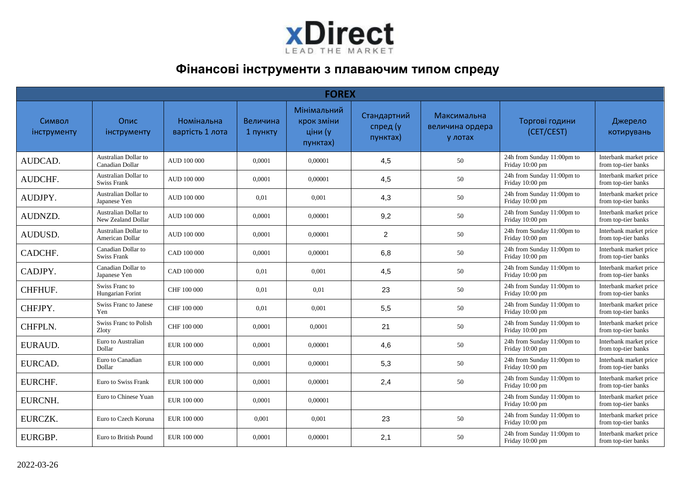

## **Фінансові інструменти з плаваючим типом спреду**

|                       | <b>FOREX</b>                               |                               |                      |                                                  |                                     |                                           |                                               |                                               |  |  |  |  |  |
|-----------------------|--------------------------------------------|-------------------------------|----------------------|--------------------------------------------------|-------------------------------------|-------------------------------------------|-----------------------------------------------|-----------------------------------------------|--|--|--|--|--|
| Символ<br>інструменту | Опис<br>інструменту                        | Номінальна<br>вартість 1 лота | Величина<br>1 пункту | Мінімальний<br>крок зміни<br>ціни (у<br>пунктах) | Стандартний<br>спред (у<br>пунктах) | Максимальна<br>величина ордера<br>у лотах | Торгові години<br>(CET/CEST)                  | Джерело<br>котирувань                         |  |  |  |  |  |
| AUDCAD.               | Australian Dollar to<br>Canadian Dollar    | AUD 100 000                   | 0,0001               | 0,00001                                          | 4,5                                 | 50                                        | 24h from Sunday 11:00pm to<br>Friday 10:00 pm | Interbank market price<br>from top-tier banks |  |  |  |  |  |
| AUDCHF.               | Australian Dollar to<br><b>Swiss Frank</b> | AUD 100 000                   | 0,0001               | 0.00001                                          | 4,5                                 | 50                                        | 24h from Sunday 11:00pm to<br>Friday 10:00 pm | Interbank market price<br>from top-tier banks |  |  |  |  |  |
| AUDJPY.               | Australian Dollar to<br>Japanese Yen       | AUD 100 000                   | 0,01                 | 0,001                                            | 4,3                                 | 50                                        | 24h from Sunday 11:00pm to<br>Friday 10:00 pm | Interbank market price<br>from top-tier banks |  |  |  |  |  |
| AUDNZD.               | Australian Dollar to<br>New Zealand Dollar | AUD 100 000                   | 0,0001               | 0.00001                                          | 9,2                                 | 50                                        | 24h from Sunday 11:00pm to<br>Friday 10:00 pm | Interbank market price<br>from top-tier banks |  |  |  |  |  |
| AUDUSD.               | Australian Dollar to<br>American Dollar    | AUD 100 000                   | 0,0001               | 0.00001                                          | $\overline{2}$                      | 50                                        | 24h from Sunday 11:00pm to<br>Friday 10:00 pm | Interbank market price<br>from top-tier banks |  |  |  |  |  |
| CADCHF.               | Canadian Dollar to<br><b>Swiss Frank</b>   | CAD 100 000                   | 0.0001               | 0.00001                                          | 6,8                                 | 50                                        | 24h from Sunday 11:00pm to<br>Friday 10:00 pm | Interbank market price<br>from top-tier banks |  |  |  |  |  |
| CADJPY.               | Canadian Dollar to<br>Japanese Yen         | CAD 100 000                   | 0,01                 | 0,001                                            | 4,5                                 | 50                                        | 24h from Sunday 11:00pm to<br>Friday 10:00 pm | Interbank market price<br>from top-tier banks |  |  |  |  |  |
| CHFHUF.               | Swiss Franc to<br>Hungarian Forint         | CHF 100 000                   | 0,01                 | 0,01                                             | 23                                  | 50                                        | 24h from Sunday 11:00pm to<br>Friday 10:00 pm | Interbank market price<br>from top-tier banks |  |  |  |  |  |
| CHFJPY.               | Swiss Franc to Janese<br>Yen               | CHF 100 000                   | 0,01                 | 0,001                                            | 5,5                                 | 50                                        | 24h from Sunday 11:00pm to<br>Friday 10:00 pm | Interbank market price<br>from top-tier banks |  |  |  |  |  |
| CHFPLN.               | Swiss Franc to Polish<br>Zloty             | CHF 100 000                   | 0,0001               | 0,0001                                           | 21                                  | 50                                        | 24h from Sunday 11:00pm to<br>Friday 10:00 pm | Interbank market price<br>from top-tier banks |  |  |  |  |  |
| EURAUD.               | Euro to Australian<br>Dollar               | EUR 100 000                   | 0,0001               | 0.00001                                          | 4,6                                 | 50                                        | 24h from Sunday 11:00pm to<br>Friday 10:00 pm | Interbank market price<br>from top-tier banks |  |  |  |  |  |
| EURCAD.               | Euro to Canadian<br>Dollar                 | EUR 100 000                   | 0,0001               | 0,00001                                          | 5,3                                 | 50                                        | 24h from Sunday 11:00pm to<br>Friday 10:00 pm | Interbank market price<br>from top-tier banks |  |  |  |  |  |
| EURCHF.               | Euro to Swiss Frank                        | EUR 100 000                   | 0,0001               | 0.00001                                          | 2,4                                 | 50                                        | 24h from Sunday 11:00pm to<br>Friday 10:00 pm | Interbank market price<br>from top-tier banks |  |  |  |  |  |
| EURCNH.               | Euro to Chinese Yuan                       | EUR 100 000                   | 0,0001               | 0.00001                                          |                                     |                                           | 24h from Sunday 11:00pm to<br>Friday 10:00 pm | Interbank market price<br>from top-tier banks |  |  |  |  |  |
| EURCZK.               | Euro to Czech Koruna                       | EUR 100 000                   | 0,001                | 0,001                                            | 23                                  | 50                                        | 24h from Sunday 11:00pm to<br>Friday 10:00 pm | Interbank market price<br>from top-tier banks |  |  |  |  |  |
| EURGBP.               | Euro to British Pound                      | EUR 100 000                   | 0.0001               | 0.00001                                          | 2,1                                 | 50                                        | 24h from Sunday 11:00pm to<br>Friday 10:00 pm | Interbank market price<br>from top-tier banks |  |  |  |  |  |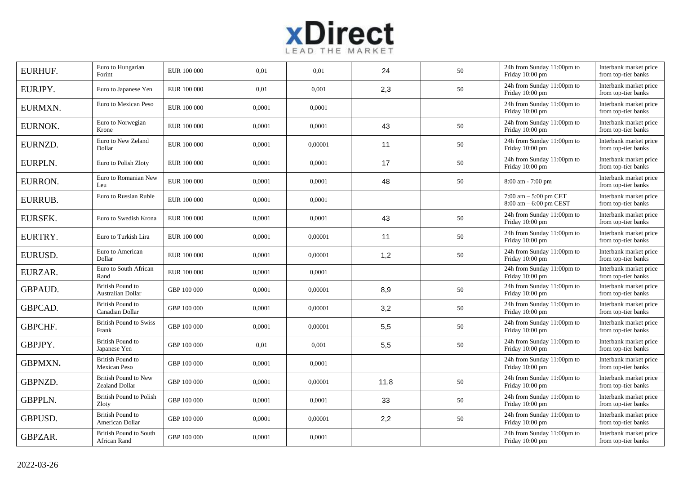

| EURHUF.        | Euro to Hungarian<br>Forint                          | EUR 100 000 | 0,01   | 0,01    | 24   | 50     | 24h from Sunday 11:00pm to<br>Friday 10:00 pm                                                | Interbank market price<br>from top-tier banks |
|----------------|------------------------------------------------------|-------------|--------|---------|------|--------|----------------------------------------------------------------------------------------------|-----------------------------------------------|
| EURJPY.        | Euro to Japanese Yen                                 | EUR 100 000 | 0,01   | 0,001   | 2,3  | 50     | 24h from Sunday 11:00pm to<br>Friday 10:00 pm                                                | Interbank market price<br>from top-tier banks |
| EURMXN.        | Euro to Mexican Peso                                 | EUR 100 000 | 0,0001 | 0.0001  |      |        | 24h from Sunday 11:00pm to<br>Friday 10:00 pm                                                | Interbank market price<br>from top-tier banks |
| EURNOK.        | Euro to Norwegian<br>Krone                           | EUR 100 000 | 0,0001 | 0,0001  | 43   | 50     | 24h from Sunday 11:00pm to<br>Friday 10:00 pm                                                | Interbank market price<br>from top-tier banks |
| EURNZD.        | Euro to New Zeland<br>Dollar                         | EUR 100 000 | 0,0001 | 0,00001 | 11   | 50     | 24h from Sunday 11:00pm to<br>Friday 10:00 pm                                                | Interbank market price<br>from top-tier banks |
| EURPLN.        | Euro to Polish Zloty                                 | EUR 100 000 | 0,0001 | 0,0001  | 17   | 50     | 24h from Sunday 11:00pm to<br>Friday 10:00 pm                                                | Interbank market price<br>from top-tier banks |
| EURRON.        | Euro to Romanian New<br>Leu                          | EUR 100 000 | 0,0001 | 0,0001  | 48   | 50     | 8:00 am - 7:00 pm                                                                            | Interbank market price<br>from top-tier banks |
| EURRUB.        | Euro to Russian Ruble                                | EUR 100 000 | 0,0001 | 0,0001  |      |        | $7:00 \text{ am} - 5:00 \text{ pm } CET$<br>$8:00 \text{ am} - 6:00 \text{ pm} \text{ CEST}$ | Interbank market price<br>from top-tier banks |
| EURSEK.        | Euro to Swedish Krona                                | EUR 100 000 | 0,0001 | 0,0001  | 43   | 50     | 24h from Sunday 11:00pm to<br>Friday 10:00 pm                                                | Interbank market price<br>from top-tier banks |
| EURTRY.        | Euro to Turkish Lira                                 | EUR 100 000 | 0,0001 | 0,00001 | 11   | 50     | 24h from Sunday 11:00pm to<br>Friday 10:00 pm                                                | Interbank market price<br>from top-tier banks |
| EURUSD.        | Euro to American<br>Dollar                           | EUR 100 000 | 0,0001 | 0,00001 | 1,2  | 50     | 24h from Sunday 11:00pm to<br>Friday 10:00 pm                                                | Interbank market price<br>from top-tier banks |
| EURZAR.        | Euro to South African<br>Rand                        | EUR 100 000 | 0,0001 | 0,0001  |      |        | 24h from Sunday 11:00pm to<br>Friday 10:00 pm                                                | Interbank market price<br>from top-tier banks |
| GBPAUD.        | <b>British Pound to</b><br><b>Australian Dollar</b>  | GBP 100 000 | 0,0001 | 0,00001 | 8,9  | 50     | 24h from Sunday 11:00pm to<br>Friday 10:00 pm                                                | Interbank market price<br>from top-tier banks |
| GBPCAD.        | <b>British Pound to</b><br>Canadian Dollar           | GBP 100 000 | 0,0001 | 0.00001 | 3,2  | 50     | 24h from Sunday 11:00pm to<br>Friday 10:00 pm                                                | Interbank market price<br>from top-tier banks |
| GBPCHF.        | <b>British Pound to Swiss</b><br>Frank               | GBP 100 000 | 0,0001 | 0,00001 | 5,5  | 50     | 24h from Sunday 11:00pm to<br>Friday 10:00 pm                                                | Interbank market price<br>from top-tier banks |
| GBPJPY.        | <b>British Pound to</b><br>Japanese Yen              | GBP 100 000 | 0,01   | 0,001   | 5,5  | $50\,$ | 24h from Sunday 11:00pm to<br>Friday 10:00 pm                                                | Interbank market price<br>from top-tier banks |
| GBPMXN.        | <b>British Pound to</b><br>Mexican Peso              | GBP 100 000 | 0,0001 | 0,0001  |      |        | 24h from Sunday 11:00pm to<br>Friday 10:00 pm                                                | Interbank market price<br>from top-tier banks |
| GBPNZD.        | <b>British Pound to New</b><br><b>Zealand Dollar</b> | GBP 100 000 | 0,0001 | 0,00001 | 11,8 | 50     | 24h from Sunday 11:00pm to<br>Friday 10:00 pm                                                | Interbank market price<br>from top-tier banks |
| <b>GBPPLN.</b> | <b>British Pound to Polish</b><br>Zloty              | GBP 100 000 | 0,0001 | 0,0001  | 33   | 50     | 24h from Sunday 11:00pm to<br>Friday 10:00 pm                                                | Interbank market price<br>from top-tier banks |
| GBPUSD.        | <b>British Pound to</b><br>American Dollar           | GBP 100 000 | 0,0001 | 0,00001 | 2,2  | 50     | 24h from Sunday 11:00pm to<br>Friday 10:00 pm                                                | Interbank market price<br>from top-tier banks |
| GBPZAR.        | <b>British Pound to South</b><br>African Rand        | GBP 100 000 | 0,0001 | 0,0001  |      |        | 24h from Sunday 11:00pm to<br>Friday 10:00 pm                                                | Interbank market price<br>from top-tier banks |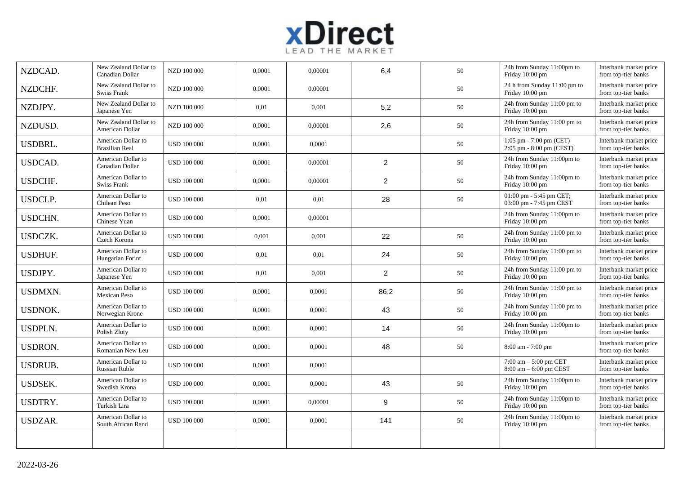

| NZDCAD.        | New Zealand Dollar to<br>Canadian Dollar    | NZD 100 000        | 0,0001 | 0,00001 | 6,4              | 50 | 24h from Sunday 11:00pm to<br>Friday 10:00 pm         | Interbank market price<br>from top-tier banks |
|----------------|---------------------------------------------|--------------------|--------|---------|------------------|----|-------------------------------------------------------|-----------------------------------------------|
| NZDCHF.        | New Zealand Dollar to<br>Swiss Frank        | NZD 100 000        | 0.0001 | 0.00001 |                  | 50 | 24 h from Sunday 11:00 pm to<br>Friday 10:00 pm       | Interbank market price<br>from top-tier banks |
| NZDJPY.        | New Zealand Dollar to<br>Japanese Yen       | NZD 100 000        | 0,01   | 0,001   | 5,2              | 50 | 24h from Sunday 11:00 pm to<br>Friday 10:00 pm        | Interbank market price<br>from top-tier banks |
| NZDUSD.        | New Zealand Dollar to<br>American Dollar    | NZD 100 000        | 0,0001 | 0.00001 | 2,6              | 50 | 24h from Sunday 11:00 pm to<br>Friday 10:00 pm        | Interbank market price<br>from top-tier banks |
| USDBRL.        | American Dollar to<br><b>Brazilian Real</b> | <b>USD 100 000</b> | 0,0001 | 0,0001  |                  | 50 | 1:05 pm - 7:00 pm (CET)<br>2:05 pm - 8:00 pm (CEST)   | Interbank market price<br>from top-tier banks |
| <b>USDCAD.</b> | American Dollar to<br>Canadian Dollar       | <b>USD 100 000</b> | 0,0001 | 0,00001 | $\overline{c}$   | 50 | 24h from Sunday 11:00pm to<br>Friday 10:00 pm         | Interbank market price<br>from top-tier banks |
| <b>USDCHF.</b> | American Dollar to<br>Swiss Frank           | <b>USD 100 000</b> | 0,0001 | 0,00001 | 2                | 50 | 24h from Sunday 11:00pm to<br>Friday 10:00 pm         | Interbank market price<br>from top-tier banks |
| <b>USDCLP.</b> | American Dollar to<br>Chilean Peso          | <b>USD 100 000</b> | 0,01   | 0,01    | 28               | 50 | 01:00 pm - 5:45 pm CET;<br>03:00 pm - 7:45 pm CEST    | Interbank market price<br>from top-tier banks |
| <b>USDCHN.</b> | American Dollar to<br>Chinese Yuan          | <b>USD 100 000</b> | 0,0001 | 0.00001 |                  |    | 24h from Sunday 11:00pm to<br>Friday 10:00 pm         | Interbank market price<br>from top-tier banks |
| <b>USDCZK.</b> | American Dollar to<br>Czech Korona          | <b>USD 100 000</b> | 0.001  | 0.001   | 22               | 50 | 24h from Sunday 11:00 pm to<br>Friday 10:00 pm        | Interbank market price<br>from top-tier banks |
| <b>USDHUF.</b> | American Dollar to<br>Hungarian Forint      | <b>USD 100 000</b> | 0,01   | 0,01    | 24               | 50 | 24h from Sunday 11:00 pm to<br>Friday 10:00 pm        | Interbank market price<br>from top-tier banks |
| USDJPY.        | American Dollar to<br>Japanese Yen          | <b>USD 100 000</b> | 0,01   | 0,001   | $\overline{2}$   | 50 | 24h from Sunday 11:00 pm to<br>Friday 10:00 pm        | Interbank market price<br>from top-tier banks |
| <b>USDMXN.</b> | American Dollar to<br><b>Mexican Peso</b>   | <b>USD 100 000</b> | 0,0001 | 0,0001  | 86,2             | 50 | 24h from Sunday 11:00 pm to<br>Friday 10:00 pm        | Interbank market price<br>from top-tier banks |
| <b>USDNOK.</b> | American Dollar to<br>Norwegian Krone       | <b>USD 100 000</b> | 0,0001 | 0,0001  | 43               | 50 | 24h from Sunday 11:00 pm to<br>Friday 10:00 pm        | Interbank market price<br>from top-tier banks |
| <b>USDPLN.</b> | American Dollar to<br>Polish Zloty          | <b>USD 100 000</b> | 0,0001 | 0.0001  | 14               | 50 | 24h from Sunday 11:00pm to<br>Friday 10:00 pm         | Interbank market price<br>from top-tier banks |
| <b>USDRON.</b> | American Dollar to<br>Romanian New Leu      | <b>USD 100 000</b> | 0,0001 | 0.0001  | 48               | 50 | $8:00$ am - 7:00 pm                                   | Interbank market price<br>from top-tier banks |
| <b>USDRUB.</b> | American Dollar to<br><b>Russian Ruble</b>  | <b>USD 100 000</b> | 0,0001 | 0,0001  |                  |    | $7:00$ am $-5:00$ pm CET<br>$8:00$ am $-6:00$ pm CEST | Interbank market price<br>from top-tier banks |
| <b>USDSEK.</b> | American Dollar to<br>Swedish Krona         | <b>USD 100 000</b> | 0,0001 | 0,0001  | 43               | 50 | 24h from Sunday 11:00pm to<br>Friday 10:00 pm         | Interbank market price<br>from top-tier banks |
| USDTRY.        | American Dollar to<br>Turkish Lira          | <b>USD 100 000</b> | 0,0001 | 0,00001 | $\boldsymbol{9}$ | 50 | 24h from Sunday 11:00pm to<br>Friday 10:00 pm         | Interbank market price<br>from top-tier banks |
| USDZAR.        | American Dollar to<br>South African Rand    | <b>USD 100 000</b> | 0,0001 | 0,0001  | 141              | 50 | 24h from Sunday 11:00pm to<br>Friday 10:00 pm         | Interbank market price<br>from top-tier banks |
|                |                                             |                    |        |         |                  |    |                                                       |                                               |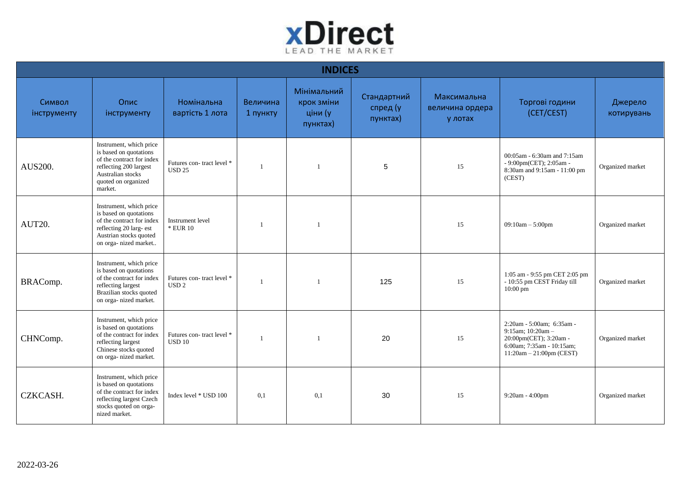

|                       | <b>INDICES</b>                                                                                                                                                  |                                                             |                      |                                                  |                                     |                                           |                                                                                                                                     |                       |  |  |  |  |
|-----------------------|-----------------------------------------------------------------------------------------------------------------------------------------------------------------|-------------------------------------------------------------|----------------------|--------------------------------------------------|-------------------------------------|-------------------------------------------|-------------------------------------------------------------------------------------------------------------------------------------|-----------------------|--|--|--|--|
| Символ<br>інструменту | Опис<br>інструменту                                                                                                                                             | Номінальна<br>вартість 1 лота                               | Величина<br>1 пункту | Мінімальний<br>крок зміни<br>ціни (у<br>пунктах) | Стандартний<br>спред (у<br>пунктах) | Максимальна<br>величина ордера<br>у лотах | Торгові години<br>(CET/CEST)                                                                                                        | Джерело<br>котирувань |  |  |  |  |
| AUS200.               | Instrument, which price<br>is based on quotations<br>of the contract for index<br>reflecting 200 largest<br>Australian stocks<br>quoted on organized<br>market. | Futures con-tract level *<br><b>USD 25</b>                  |                      |                                                  | $\sqrt{5}$                          | 15                                        | 00:05am - 6:30am and 7:15am<br>- 9:00pm(CET); 2:05am -<br>8:30am and 9:15am - 11:00 pm<br>(CEST)                                    | Organized market      |  |  |  |  |
| AUT20.                | Instrument, which price<br>is based on quotations<br>of the contract for index<br>reflecting 20 larg- est<br>Austrian stocks quoted<br>on orga-nized market     | Instrument level<br>* EUR 10                                |                      |                                                  |                                     | 15                                        | $09:10am - 5:00pm$                                                                                                                  | Organized market      |  |  |  |  |
| BRAComp.              | Instrument, which price<br>is based on quotations<br>of the contract for index<br>reflecting largest<br>Brazilian stocks quoted<br>on orga- nized market.       | Futures con-tract level *<br>$\ensuremath{\mathrm{USD}}\,2$ |                      |                                                  | 125                                 | 15                                        | 1:05 am - 9:55 pm CET 2:05 pm<br>- 10:55 pm CEST Friday till<br>$10:00$ pm                                                          | Organized market      |  |  |  |  |
| CHNComp.              | Instrument, which price<br>is based on quotations<br>of the contract for index<br>reflecting largest<br>Chinese stocks quoted<br>on orga- nized market.         | Futures con-tract level *<br><b>USD 10</b>                  |                      |                                                  | 20                                  | 15                                        | 2:20am - 5:00am; 6:35am -<br>9:15am; 10:20am -<br>20:00pm(CET); 3:20am -<br>6:00am; 7:35am - 10:15am;<br>$11:20am - 21:00pm$ (CEST) | Organized market      |  |  |  |  |
| CZKCASH.              | Instrument, which price<br>is based on quotations<br>of the contract for index<br>reflecting largest Czech<br>stocks quoted on orga-<br>nized market.           | Index level * USD 100                                       | 0,1                  | 0,1                                              | 30                                  | 15                                        | $9:20am - 4:00pm$                                                                                                                   | Organized market      |  |  |  |  |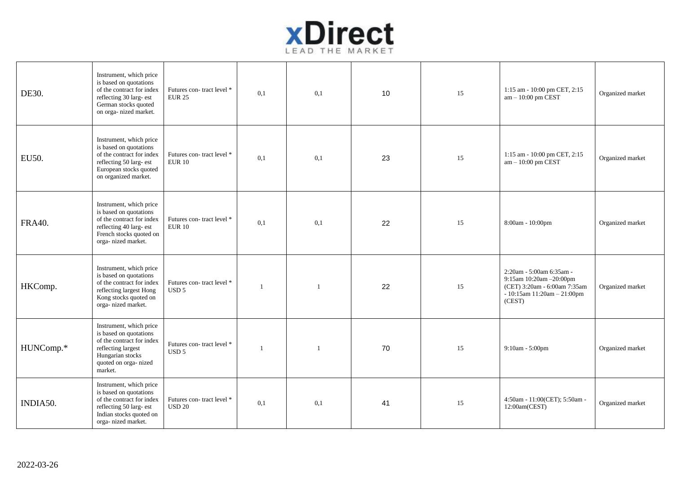

| DE30.         | Instrument, which price<br>is based on quotations<br>of the contract for index<br>reflecting 30 larg- est<br>German stocks quoted<br>on orga- nized market. | Futures con-tract level *<br><b>EUR 25</b>    | 0,1            | 0,1 | 10 | 15 | 1:15 am - 10:00 pm CET, 2:15<br>$am - 10:00$ pm CEST                                                                                | Organized market |
|---------------|-------------------------------------------------------------------------------------------------------------------------------------------------------------|-----------------------------------------------|----------------|-----|----|----|-------------------------------------------------------------------------------------------------------------------------------------|------------------|
| EU50.         | Instrument, which price<br>is based on quotations<br>of the contract for index<br>reflecting 50 larg- est<br>European stocks quoted<br>on organized market. | Futures con-tract level *<br><b>EUR 10</b>    | 0.1            | 0.1 | 23 | 15 | 1:15 am - 10:00 pm CET, 2:15<br>$am - 10:00$ pm CEST                                                                                | Organized market |
| <b>FRA40.</b> | Instrument, which price<br>is based on quotations<br>of the contract for index<br>reflecting 40 larg- est<br>French stocks quoted on<br>orga- nized market. | Futures con-tract level *<br><b>EUR 10</b>    | 0,1            | 0,1 | 22 | 15 | 8:00am - 10:00pm                                                                                                                    | Organized market |
| HKComp.       | Instrument, which price<br>is based on quotations<br>of the contract for index<br>reflecting largest Hong<br>Kong stocks quoted on<br>orga- nized market.   | Futures con-tract level *<br>USD <sub>5</sub> | $\overline{1}$ | 1   | 22 | 15 | 2:20am - 5:00am 6:35am -<br>9:15am 10:20am -20:00pm<br>(CET) 3:20am - 6:00am 7:35am<br>$-10:15$ am $11:20$ am $-21:00$ pm<br>(CEST) | Organized market |
| HUNComp.*     | Instrument, which price<br>is based on quotations<br>of the contract for index<br>reflecting largest<br>Hungarian stocks<br>quoted on orga-nized<br>market. | Futures con-tract level *<br>USD <sub>5</sub> | -1             | -1  | 70 | 15 | $9:10am - 5:00pm$                                                                                                                   | Organized market |
| INDIA50.      | Instrument, which price<br>is based on quotations<br>of the contract for index<br>reflecting 50 larg- est<br>Indian stocks quoted on<br>orga- nized market. | Futures con-tract level *<br>$\rm{USD}$ 20    | 0,1            | 0,1 | 41 | 15 | 4:50am - 11:00(CET); 5:50am -<br>12:00am(CEST)                                                                                      | Organized market |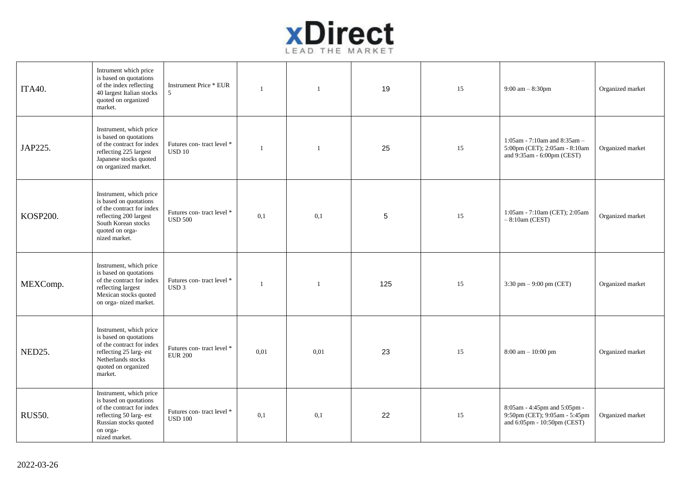

| <b>ITA40.</b> | Intrument which price<br>is based on quotations<br>of the index reflecting<br>40 largest Italian stocks<br>quoted on organized<br>market.                           | <b>Instrument Price * EUR</b><br>5                                 | $\overline{1}$ | $\overline{1}$ | 19  | 15 | 9:00 am $-$ 8:30pm                                                                           | Organized market |
|---------------|---------------------------------------------------------------------------------------------------------------------------------------------------------------------|--------------------------------------------------------------------|----------------|----------------|-----|----|----------------------------------------------------------------------------------------------|------------------|
| JAP225.       | Instrument, which price<br>is based on quotations<br>of the contract for index<br>reflecting 225 largest<br>Japanese stocks quoted<br>on organized market.          | Futures con-tract level *<br>$\ensuremath{\mathsf{USD}}\xspace$ 10 | $\overline{1}$ | $\overline{1}$ | 25  | 15 | 1:05am - 7:10am and 8:35am -<br>5:00pm (CET); 2:05am - 8:10am<br>and 9:35am - 6:00pm (CEST)  | Organized market |
| KOSP200.      | Instrument, which price<br>is based on quotations<br>of the contract for index<br>reflecting 200 largest<br>South Korean stocks<br>quoted on orga-<br>nized market. | Futures con-tract level *<br><b>USD 500</b>                        | 0,1            | 0,1            | 5   | 15 | 1:05am - 7:10am (CET); 2:05am<br>$-8:10$ am (CEST)                                           | Organized market |
| MEXComp.      | Instrument, which price<br>is based on quotations<br>of the contract for index<br>reflecting largest<br>Mexican stocks quoted<br>on orga- nized market.             | Futures con-tract level *<br>USD <sub>3</sub>                      |                | $\overline{1}$ | 125 | 15 | 3:30 pm $-9:00$ pm (CET)                                                                     | Organized market |
| NED25.        | Instrument, which price<br>is based on quotations<br>of the contract for index<br>reflecting 25 larg- est<br>Netherlands stocks<br>quoted on organized<br>market.   | Futures con-tract level *<br><b>EUR 200</b>                        | 0,01           | 0,01           | 23  | 15 | 8:00 am - 10:00 pm                                                                           | Organized market |
| <b>RUS50.</b> | Instrument, which price<br>is based on quotations<br>of the contract for index<br>reflecting 50 larg- est<br>Russian stocks quoted<br>on orga-<br>nized market.     | Futures con-tract level *<br><b>USD 100</b>                        | 0,1            | 0,1            | 22  | 15 | 8:05am - 4:45pm and 5:05pm -<br>9:50pm (CET); 9:05am - 5:45pm<br>and 6:05pm - 10:50pm (CEST) | Organized market |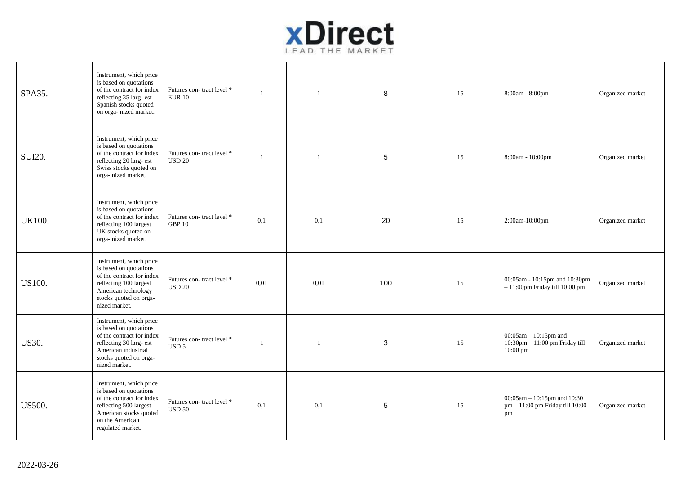

| SPA35.        | Instrument, which price<br>is based on quotations<br>of the contract for index<br>reflecting 35 larg- est<br>Spanish stocks quoted<br>on orga-nized market.                 | Futures con-tract level *<br><b>EUR 10</b>    |      |      | 8   | 15 | 8:00am - 8:00pm                                                            | Organized market |
|---------------|-----------------------------------------------------------------------------------------------------------------------------------------------------------------------------|-----------------------------------------------|------|------|-----|----|----------------------------------------------------------------------------|------------------|
| <b>SUI20.</b> | Instrument, which price<br>is based on quotations<br>of the contract for index<br>reflecting 20 larg- est<br>Swiss stocks quoted on<br>orga-nized market.                   | Futures con-tract level *<br>$\rm{USD}$ 20    |      |      | 5   | 15 | 8:00am - 10:00pm                                                           | Organized market |
| <b>UK100.</b> | Instrument, which price<br>is based on quotations<br>of the contract for index<br>reflecting 100 largest<br>UK stocks quoted on<br>orga- nized market.                      | Futures con-tract level *<br><b>GBP 10</b>    | 0,1  | 0,1  | 20  | 15 | 2:00am-10:00pm                                                             | Organized market |
| US100.        | Instrument, which price<br>is based on quotations<br>of the contract for index<br>reflecting 100 largest<br>American technology<br>stocks quoted on orga-<br>nized market.  | Futures con-tract level *<br><b>USD 20</b>    | 0.01 | 0,01 | 100 | 15 | 00:05am - 10:15pm and 10:30pm<br>$-11:00$ pm Friday till $10:00$ pm        | Organized market |
| <b>US30.</b>  | Instrument, which price<br>is based on quotations<br>of the contract for index<br>reflecting 30 larg- est<br>American industrial<br>stocks quoted on orga-<br>nized market. | Futures con-tract level *<br>USD <sub>5</sub> |      |      | 3   | 15 | $00:05$ am $-10:15$ pm and<br>10:30pm - 11:00 pm Friday till<br>$10:00$ pm | Organized market |
| <b>US500.</b> | Instrument, which price<br>is based on quotations<br>of the contract for index<br>reflecting 500 largest<br>American stocks quoted<br>on the American<br>regulated market.  | Futures con-tract level *<br><b>USD 50</b>    | 0,1  | 0,1  | 5   | 15 | $00:05$ am - 10:15pm and 10:30<br>pm - 11:00 pm Friday till 10:00<br>pm    | Organized market |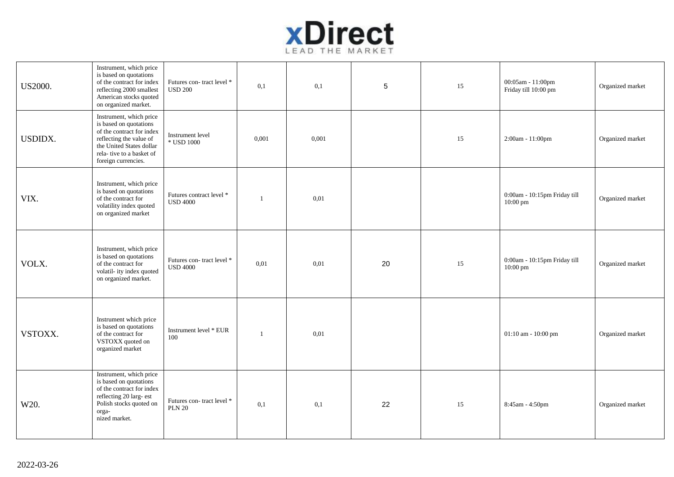

| US2000.        | Instrument, which price<br>is based on quotations<br>of the contract for index<br>reflecting 2000 smallest<br>American stocks quoted<br>on organized market.                             | Futures con-tract level *<br>$\rm{USD}$ 200  | 0,1            | 0,1   | $\sqrt{5}$ | 15 | 00:05am - 11:00pm<br>Friday till 10:00 pm          | Organized market |
|----------------|------------------------------------------------------------------------------------------------------------------------------------------------------------------------------------------|----------------------------------------------|----------------|-------|------------|----|----------------------------------------------------|------------------|
| <b>USDIDX.</b> | Instrument, which price<br>is based on quotations<br>of the contract for index<br>reflecting the value of<br>the United States dollar<br>rela-tive to a basket of<br>foreign currencies. | Instrument level<br>* USD 1000               | 0,001          | 0,001 |            | 15 | 2:00am - 11:00pm                                   | Organized market |
| VIX.           | Instrument, which price<br>is based on quotations<br>of the contract for<br>volatility index quoted<br>on organized market                                                               | Futures contract level *<br><b>USD 4000</b>  | $\overline{1}$ | 0,01  |            |    | 0:00am - 10:15pm Friday till<br>$10:00 \text{ pm}$ | Organized market |
| VOLX.          | Instrument, which price<br>is based on quotations<br>of the contract for<br>volatil- ity index quoted<br>on organized market.                                                            | Futures con-tract level *<br><b>USD 4000</b> | 0,01           | 0,01  | 20         | 15 | 0:00am - 10:15pm Friday till<br>10:00 pm           | Organized market |
| VSTOXX.        | Instrument which price<br>is based on quotations<br>of the contract for<br>VSTOXX quoted on<br>organized market                                                                          | Instrument level * EUR<br>100                | $\overline{1}$ | 0,01  |            |    | 01:10 am - 10:00 pm                                | Organized market |
| W20.           | Instrument, which price<br>is based on quotations<br>of the contract for index<br>reflecting 20 larg- est<br>Polish stocks quoted on<br>orga-<br>nized market.                           | Futures con-tract level *<br><b>PLN 20</b>   | 0,1            | 0,1   | 22         | 15 | 8:45am - 4:50pm                                    | Organized market |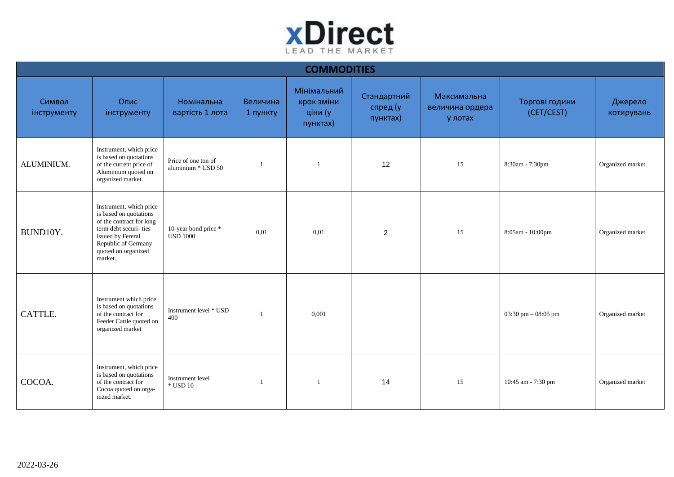

|                       | <b>COMMODITIES</b>                                                                                                                                                                  |                                           |                      |                                                  |                                     |                                           |                              |                       |  |  |  |  |  |
|-----------------------|-------------------------------------------------------------------------------------------------------------------------------------------------------------------------------------|-------------------------------------------|----------------------|--------------------------------------------------|-------------------------------------|-------------------------------------------|------------------------------|-----------------------|--|--|--|--|--|
| Символ<br>інструменту | Опис<br>інструменту                                                                                                                                                                 | Номінальна<br>вартість 1 лота             | Величина<br>1 пункту | Мінімальний<br>крок зміни<br>ціни (у<br>пунктах) | Стандартний<br>спред (у<br>пунктах) | Максимальна<br>величина ордера<br>у лотах | Торгові години<br>(CET/CEST) | Джерело<br>котирувань |  |  |  |  |  |
| ALUMINIUM.            | Instrument, which price<br>is based on quotations<br>of the current price of<br>Aluminium quoted on<br>organized market.                                                            | Price of one ton of<br>aluminium * USD 50 |                      |                                                  | 12                                  | 15                                        | 8:30am - 7:30pm              | Organized market      |  |  |  |  |  |
| BUND10Y.              | Instrument, which price<br>is based on quotations<br>of the contract for long<br>term debt securi-ties<br>issued by Fereral<br>Republic of Germany<br>quoted on organized<br>market | 10-year bond price *<br><b>USD 1000</b>   | 0,01                 | 0,01                                             | 2                                   | 15                                        | 8:05am - 10:00pm             | Organized market      |  |  |  |  |  |
| CATTLE.               | Instrument which price<br>is based on quotations<br>of the contract for<br>Feeder Cattle quoted on<br>organized market                                                              | Instrument level * USD<br>400             |                      | 0,001                                            |                                     |                                           | 03:30 pm $-$ 08:05 pm        | Organized market      |  |  |  |  |  |
| COCOA.                | Instrument, which price<br>is based on quotations<br>of the contract for<br>Cocoa quoted on orga-<br>nized market.                                                                  | Instrument level<br>$\,^*$ USD 10         |                      | 1                                                | 14                                  | 15                                        | 10:45 am - 7:30 pm           | Organized market      |  |  |  |  |  |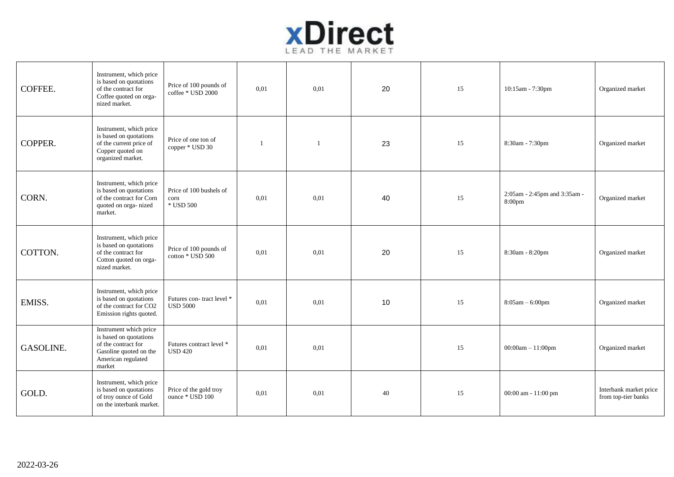

| COFFEE.   | Instrument, which price<br>is based on quotations<br>of the contract for<br>Coffee quoted on orga-<br>nized market.               | Price of 100 pounds of<br>coffee * USD 2000       | 0,01 | 0,01 | 20 | 15 | 10:15am - 7:30pm                       | Organized market                              |
|-----------|-----------------------------------------------------------------------------------------------------------------------------------|---------------------------------------------------|------|------|----|----|----------------------------------------|-----------------------------------------------|
| COPPER.   | Instrument, which price<br>is based on quotations<br>of the current price of<br>Copper quoted on<br>organized market.             | Price of one ton of<br>copper * USD 30            |      |      | 23 | 15 | 8:30am - 7:30pm                        | Organized market                              |
| CORN.     | Instrument, which price<br>is based on quotations<br>of the contract for Corn<br>quoted on orga-nized<br>market.                  | Price of 100 bushels of<br>corn<br>$\,^*$ USD 500 | 0,01 | 0,01 | 40 | 15 | 2:05am - 2:45pm and 3:35am -<br>8:00pm | Organized market                              |
| COTTON.   | Instrument, which price<br>is based on quotations<br>of the contract for<br>Cotton quoted on orga-<br>nized market.               | Price of 100 pounds of<br>cotton * USD 500        | 0,01 | 0,01 | 20 | 15 | 8:30am - 8:20pm                        | Organized market                              |
| EMISS.    | Instrument, which price<br>is based on quotations<br>of the contract for CO2<br>Emission rights quoted.                           | Futures con-tract level *<br><b>USD 5000</b>      | 0,01 | 0,01 | 10 | 15 | $8:05am - 6:00pm$                      | Organized market                              |
| GASOLINE. | Instrument which price<br>is based on quotations<br>of the contract for<br>Gasoline quoted on the<br>American regulated<br>market | Futures contract level *<br><b>USD 420</b>        | 0,01 | 0,01 |    | 15 | $00:00am - 11:00pm$                    | Organized market                              |
| GOLD.     | Instrument, which price<br>is based on quotations<br>of troy ounce of Gold<br>on the interbank market.                            | Price of the gold troy<br>ounce * USD 100         | 0,01 | 0,01 | 40 | 15 | 00:00 am - 11:00 pm                    | Interbank market price<br>from top-tier banks |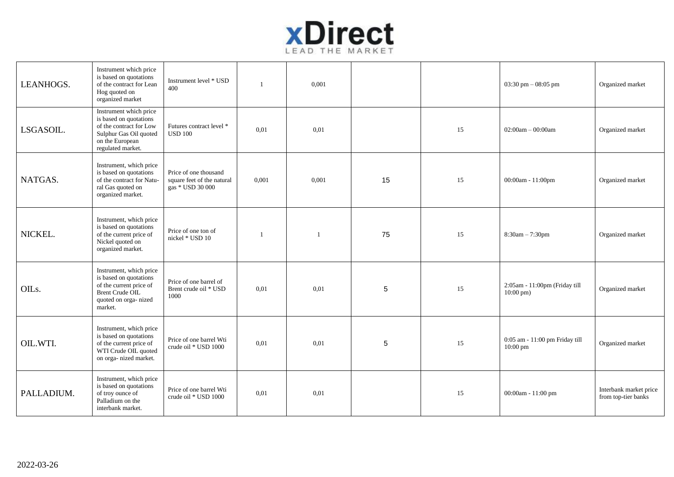

| LEANHOGS.          | Instrument which price<br>is based on quotations<br>of the contract for Lean<br>Hog quoted on<br>organized market                             | Instrument level * USD<br>400                                           |       | 0.001 |            |    | $03:30 \text{ pm} - 08:05 \text{ pm}$                 | Organized market                              |
|--------------------|-----------------------------------------------------------------------------------------------------------------------------------------------|-------------------------------------------------------------------------|-------|-------|------------|----|-------------------------------------------------------|-----------------------------------------------|
| LSGASOIL.          | Instrument which price<br>is based on quotations<br>of the contract for Low<br>Sulphur Gas Oil quoted<br>on the European<br>regulated market. | Futures contract level *<br><b>USD 100</b>                              | 0.01  | 0,01  |            | 15 | $02:00am - 00:00am$                                   | Organized market                              |
| NATGAS.            | Instrument, which price<br>is based on quotations<br>of the contract for Natu-<br>ral Gas quoted on<br>organized market.                      | Price of one thousand<br>square feet of the natural<br>gas * USD 30 000 | 0,001 | 0,001 | 15         | 15 | 00:00am - 11:00pm                                     | Organized market                              |
| NICKEL.            | Instrument, which price<br>is based on quotations<br>of the current price of<br>Nickel quoted on<br>organized market.                         | Price of one ton of<br>nickel * USD 10                                  |       | -1    | 75         | 15 | $8:30am - 7:30pm$                                     | Organized market                              |
| OIL <sub>s</sub> . | Instrument, which price<br>is based on quotations<br>of the current price of<br><b>Brent Crude OIL</b><br>quoted on orga-nized<br>market.     | Price of one barrel of<br>Brent crude oil * USD<br>1000                 | 0,01  | 0,01  | $\sqrt{5}$ | 15 | 2:05am - 11:00pm (Friday till<br>$10:00 \text{ pm}$ ) | Organized market                              |
| OIL.WTI.           | Instrument, which price<br>is based on quotations<br>of the current price of<br>WTI Crude OIL quoted<br>on orga- nized market.                | Price of one barrel Wti<br>crude oil * USD 1000                         | 0,01  | 0,01  | $\sqrt{5}$ | 15 | 0:05 am - 11:00 pm Friday till<br>$10:00 \text{ pm}$  | Organized market                              |
| PALLADIUM.         | Instrument, which price<br>is based on quotations<br>of troy ounce of<br>Palladium on the<br>interbank market.                                | Price of one barrel Wti<br>crude oil * USD 1000                         | 0,01  | 0,01  |            | 15 | $00:00am - 11:00 pm$                                  | Interbank market price<br>from top-tier banks |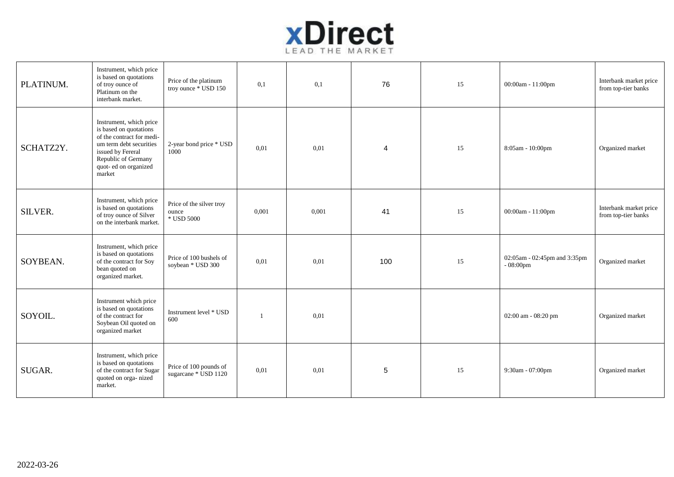

| PLATINUM.      | Instrument, which price<br>is based on quotations<br>of troy ounce of<br>Platinum on the<br>interbank market.                                                                            | Price of the platinum<br>troy ounce * USD 150   | 0,1   | 0,1   | 76             | 15 | 00:00am - 11:00pm                           | Interbank market price<br>from top-tier banks |
|----------------|------------------------------------------------------------------------------------------------------------------------------------------------------------------------------------------|-------------------------------------------------|-------|-------|----------------|----|---------------------------------------------|-----------------------------------------------|
| SCHATZ2Y.      | Instrument, which price<br>is based on quotations<br>of the contract for medi-<br>um term debt securities<br>issued by Fereral<br>Republic of Germany<br>quot- ed on organized<br>market | 2-year bond price * USD<br>1000                 | 0,01  | 0,01  | $\overline{4}$ | 15 | 8:05am - 10:00pm                            | Organized market                              |
| <b>SILVER.</b> | Instrument, which price<br>is based on quotations<br>of troy ounce of Silver<br>on the interbank market.                                                                                 | Price of the silver troy<br>ounce<br>* USD 5000 | 0,001 | 0,001 | 41             | 15 | 00:00am - 11:00pm                           | Interbank market price<br>from top-tier banks |
| SOYBEAN.       | Instrument, which price<br>is based on quotations<br>of the contract for Soy<br>bean quoted on<br>organized market.                                                                      | Price of 100 bushels of<br>soybean * USD 300    | 0,01  | 0,01  | 100            | 15 | 02:05am - 02:45pm and 3:35pm<br>$-08:00$ pm | Organized market                              |
| SOYOIL.        | Instrument which price<br>is based on quotations<br>of the contract for<br>Soybean Oil quoted on<br>organized market                                                                     | Instrument level * USD<br>600                   |       | 0,01  |                |    | 02:00 am - 08:20 pm                         | Organized market                              |
| SUGAR.         | Instrument, which price<br>is based on quotations<br>of the contract for Sugar<br>quoted on orga-nized<br>market.                                                                        | Price of 100 pounds of<br>sugarcane * USD 1120  | 0,01  | 0,01  | 5              | 15 | 9:30am - 07:00pm                            | Organized market                              |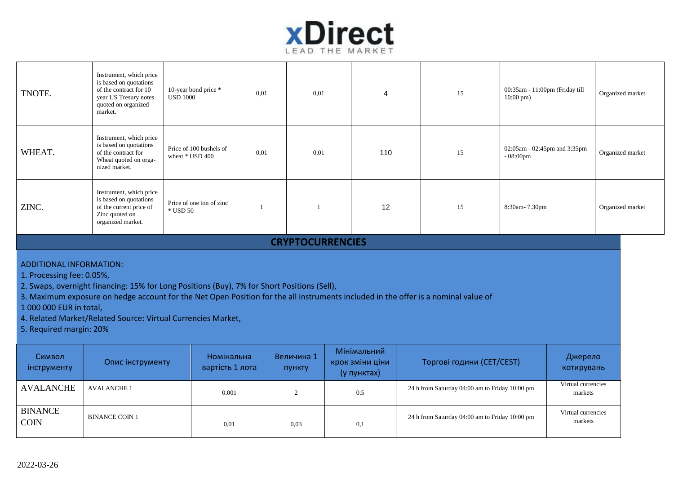

┱

| TNOTE.                                                                                                                                                                                                                                                                                                                                                                                                                 | Instrument, which price<br>is based on quotations<br>of the contract for 10<br>year US Tresury notes<br>quoted on organized<br>market. | 10-year bond price *<br><b>USD 1000</b>    | 0,01         | 0.01                 | 4                                             |  | 15                                             | 00:35am - 11:00pm (Friday till<br>$10:00 \text{ pm}$ ) |  | Organized market      |  |
|------------------------------------------------------------------------------------------------------------------------------------------------------------------------------------------------------------------------------------------------------------------------------------------------------------------------------------------------------------------------------------------------------------------------|----------------------------------------------------------------------------------------------------------------------------------------|--------------------------------------------|--------------|----------------------|-----------------------------------------------|--|------------------------------------------------|--------------------------------------------------------|--|-----------------------|--|
| WHEAT.                                                                                                                                                                                                                                                                                                                                                                                                                 | Instrument, which price<br>is based on quotations<br>of the contract for<br>Wheat quoted on orga-<br>nized market.                     | Price of 100 bushels of<br>wheat * USD 400 | 0.01         | 0.01                 | 110                                           |  | 15                                             | 02:05am - 02:45pm and 3:35pm<br>$-08:00$ pm            |  | Organized market      |  |
| ZINC.                                                                                                                                                                                                                                                                                                                                                                                                                  | Instrument, which price<br>is based on quotations<br>of the current price of<br>Zinc quoted on<br>organized market.                    | Price of one ton of zinc<br>* USD 50       | $\mathbf{1}$ | $\overline{1}$       | 12                                            |  | 15                                             | 8:30am-7.30pm                                          |  | Organized market      |  |
| <b>CRYPTOCURRENCIES</b>                                                                                                                                                                                                                                                                                                                                                                                                |                                                                                                                                        |                                            |              |                      |                                               |  |                                                |                                                        |  |                       |  |
| <b>ADDITIONAL INFORMATION:</b><br>1. Processing fee: 0.05%,<br>2. Swaps, overnight financing: 15% for Long Positions (Buy), 7% for Short Positions (Sell),<br>3. Maximum exposure on hedge account for the Net Open Position for the all instruments included in the offer is a nominal value of<br>1 000 000 EUR in total,<br>4. Related Market/Related Source: Virtual Currencies Market,<br>5. Required margin: 20% |                                                                                                                                        |                                            |              |                      |                                               |  |                                                |                                                        |  |                       |  |
| Символ<br>інструменту                                                                                                                                                                                                                                                                                                                                                                                                  | Опис інструменту                                                                                                                       | Номінальна<br>вартість 1 лота              |              | Величина 1<br>пункту | Мінімальний<br>крок зміни ціни<br>(у пунктах) |  | Торгові години (CET/CEST)                      |                                                        |  | Джерело<br>котирувань |  |
| <b>AVALANCHE</b>                                                                                                                                                                                                                                                                                                                                                                                                       | <b>AVALANCHE 1</b>                                                                                                                     | 0.001                                      |              | $\overline{c}$       | 0.5                                           |  | 24 h from Saturday 04:00 am to Friday 10:00 pm | Virtual currencies<br>markets                          |  |                       |  |
| <b>BINANCE</b><br><b>COIN</b>                                                                                                                                                                                                                                                                                                                                                                                          | <b>BINANCE COIN 1</b>                                                                                                                  | 0,01                                       |              | 0.03                 | 0,1                                           |  | 24 h from Saturday 04:00 am to Friday 10:00 pm | Virtual currencies<br>markets                          |  |                       |  |

┬

┱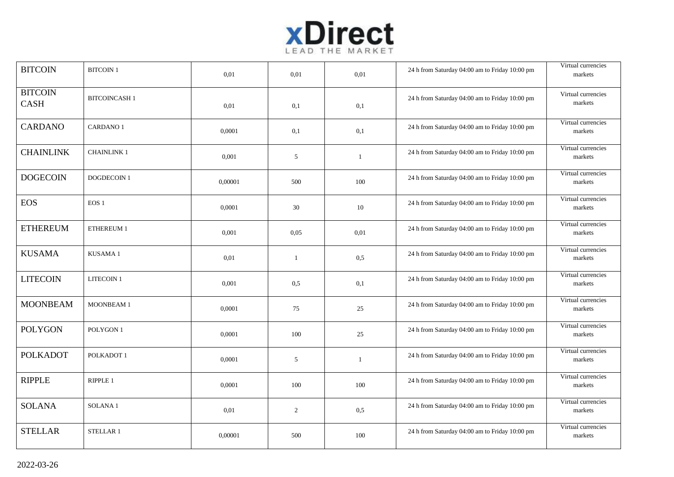

| <b>BITCOIN</b>                | <b>BITCOIN 1</b>    | 0.01    | 0.01         | 0.01         | 24 h from Saturday 04:00 am to Friday 10:00 pm | Virtual currencies<br>markets |
|-------------------------------|---------------------|---------|--------------|--------------|------------------------------------------------|-------------------------------|
| <b>BITCOIN</b><br><b>CASH</b> | <b>BITCOINCASH1</b> | 0,01    | 0,1          | 0,1          | 24 h from Saturday 04:00 am to Friday 10:00 pm | Virtual currencies<br>markets |
| <b>CARDANO</b>                | <b>CARDANO1</b>     | 0,0001  | 0,1          | 0,1          | 24 h from Saturday 04:00 am to Friday 10:00 pm | Virtual currencies<br>markets |
| <b>CHAINLINK</b>              | <b>CHAINLINK1</b>   | 0,001   | 5            | 1            | 24 h from Saturday 04:00 am to Friday 10:00 pm | Virtual currencies<br>markets |
| <b>DOGECOIN</b>               | <b>DOGDECOIN1</b>   | 0,00001 | 500          | 100          | 24 h from Saturday 04:00 am to Friday 10:00 pm | Virtual currencies<br>markets |
| <b>EOS</b>                    | EOS <sub>1</sub>    | 0,0001  | 30           | 10           | 24 h from Saturday 04:00 am to Friday 10:00 pm | Virtual currencies<br>markets |
| <b>ETHEREUM</b>               | ETHEREUM 1          | 0,001   | 0.05         | 0,01         | 24 h from Saturday 04:00 am to Friday 10:00 pm | Virtual currencies<br>markets |
| <b>KUSAMA</b>                 | KUSAMA1             | 0,01    | $\mathbf{1}$ | 0,5          | 24 h from Saturday 04:00 am to Friday 10:00 pm | Virtual currencies<br>markets |
| <b>LITECOIN</b>               | <b>LITECOIN1</b>    | 0,001   | 0.5          | 0,1          | 24 h from Saturday 04:00 am to Friday 10:00 pm | Virtual currencies<br>markets |
| <b>MOONBEAM</b>               | MOONBEAM 1          | 0,0001  | 75           | 25           | 24 h from Saturday 04:00 am to Friday 10:00 pm | Virtual currencies<br>markets |
| <b>POLYGON</b>                | POLYGON 1           | 0,0001  | 100          | 25           | 24 h from Saturday 04:00 am to Friday 10:00 pm | Virtual currencies<br>markets |
| <b>POLKADOT</b>               | POLKADOT 1          | 0,0001  | 5            | $\mathbf{1}$ | 24 h from Saturday 04:00 am to Friday 10:00 pm | Virtual currencies<br>markets |
| <b>RIPPLE</b>                 | RIPPLE 1            | 0,0001  | 100          | 100          | 24 h from Saturday 04:00 am to Friday 10:00 pm | Virtual currencies<br>markets |
| <b>SOLANA</b>                 | <b>SOLANA1</b>      | 0,01    | 2            | 0,5          | 24 h from Saturday 04:00 am to Friday 10:00 pm | Virtual currencies<br>markets |
| <b>STELLAR</b>                | STELLAR 1           | 0,00001 | 500          | 100          | 24 h from Saturday 04:00 am to Friday 10:00 pm | Virtual currencies<br>markets |